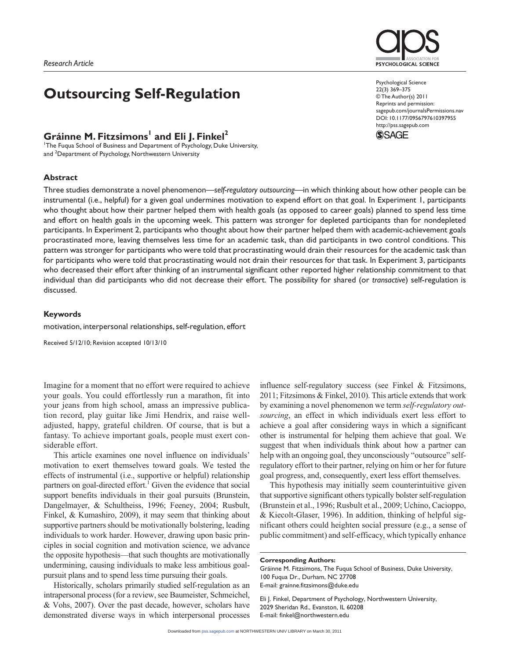# **Outsourcing Self-Regulation**

# $\mathbf{Gráinne\ M.}$  Fitzsimons $^{\mathsf{I}}$  and Eli J. Finkel $^{\mathsf{2}}$

<sup>1</sup>The Fuqua School of Business and Department of Psychology, Duke University, and <sup>2</sup>Department of Psychology, Northwestern University

#### **Abstract**



Psychological Science 22(3) 369 –375 © The Author(s) 2011 Reprints and permission: sagepub.com/journalsPermissions.nav DOI: 10.1177/0956797610397955 http://pss.sagepub.com



Three studies demonstrate a novel phenomenon—*self-regulatory outsourcing*—in which thinking about how other people can be instrumental (i.e., helpful) for a given goal undermines motivation to expend effort on that goal. In Experiment 1, participants who thought about how their partner helped them with health goals (as opposed to career goals) planned to spend less time and effort on health goals in the upcoming week. This pattern was stronger for depleted participants than for nondepleted participants. In Experiment 2, participants who thought about how their partner helped them with academic-achievement goals procrastinated more, leaving themselves less time for an academic task, than did participants in two control conditions. This pattern was stronger for participants who were told that procrastinating would drain their resources for the academic task than for participants who were told that procrastinating would not drain their resources for that task. In Experiment 3, participants who decreased their effort after thinking of an instrumental significant other reported higher relationship commitment to that individual than did participants who did not decrease their effort. The possibility for shared (or *transactive*) self-regulation is discussed.

#### **Keywords**

motivation, interpersonal relationships, self-regulation, effort

Received 5/12/10; Revision accepted 10/13/10

Imagine for a moment that no effort were required to achieve your goals. You could effortlessly run a marathon, fit into your jeans from high school, amass an impressive publication record, play guitar like Jimi Hendrix, and raise welladjusted, happy, grateful children. Of course, that is but a fantasy. To achieve important goals, people must exert considerable effort.

This article examines one novel influence on individuals' motivation to exert themselves toward goals. We tested the effects of instrumental (i.e., supportive or helpful) relationship partners on goal-directed effort.<sup>1</sup> Given the evidence that social support benefits individuals in their goal pursuits (Brunstein, Dangelmayer, & Schultheiss, 1996; Feeney, 2004; Rusbult, Finkel, & Kumashiro, 2009), it may seem that thinking about supportive partners should be motivationally bolstering, leading individuals to work harder. However, drawing upon basic principles in social cognition and motivation science, we advance the opposite hypothesis—that such thoughts are motivationally undermining, causing individuals to make less ambitious goalpursuit plans and to spend less time pursuing their goals.

Historically, scholars primarily studied self-regulation as an intrapersonal process (for a review, see Baumeister, Schmeichel, & Vohs, 2007). Over the past decade, however, scholars have demonstrated diverse ways in which interpersonal processes

influence self-regulatory success (see Finkel & Fitzsimons, 2011; Fitzsimons & Finkel, 2010). This article extends that work by examining a novel phenomenon we term *self-regulatory outsourcing*, an effect in which individuals exert less effort to achieve a goal after considering ways in which a significant other is instrumental for helping them achieve that goal. We suggest that when individuals think about how a partner can help with an ongoing goal, they unconsciously "outsource" selfregulatory effort to their partner, relying on him or her for future goal progress, and, consequently, exert less effort themselves.

This hypothesis may initially seem counterintuitive given that supportive significant others typically bolster self-regulation (Brunstein et al., 1996; Rusbult et al., 2009; Uchino, Cacioppo, & Kiecolt-Glaser, 1996). In addition, thinking of helpful significant others could heighten social pressure (e.g., a sense of public commitment) and self-efficacy, which typically enhance

Gráinne M. Fitzsimons, The Fuqua School of Business, Duke University, 100 Fuqua Dr., Durham, NC 27708 E-mail: grainne.fitzsimons@duke.edu

Eli J. Finkel, Department of Psychology, Northwestern University, 2029 Sheridan Rd., Evanston, IL 60208 E-mail: finkel@northwestern.edu

**Corresponding Authors:**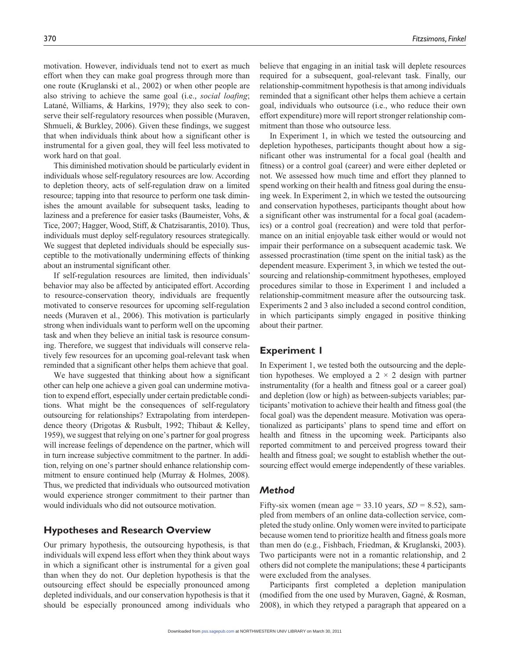motivation. However, individuals tend not to exert as much effort when they can make goal progress through more than one route (Kruglanski et al., 2002) or when other people are also striving to achieve the same goal (i.e., *social loafing*; Latané, Williams, & Harkins, 1979); they also seek to conserve their self-regulatory resources when possible (Muraven, Shmueli, & Burkley, 2006). Given these findings, we suggest that when individuals think about how a significant other is instrumental for a given goal, they will feel less motivated to work hard on that goal.

This diminished motivation should be particularly evident in individuals whose self-regulatory resources are low. According to depletion theory, acts of self-regulation draw on a limited resource; tapping into that resource to perform one task diminishes the amount available for subsequent tasks, leading to laziness and a preference for easier tasks (Baumeister, Vohs, & Tice, 2007; Hagger, Wood, Stiff, & Chatzisarantis, 2010). Thus, individuals must deploy self-regulatory resources strategically. We suggest that depleted individuals should be especially susceptible to the motivationally undermining effects of thinking about an instrumental significant other.

If self-regulation resources are limited, then individuals' behavior may also be affected by anticipated effort. According to resource-conservation theory, individuals are frequently motivated to conserve resources for upcoming self-regulation needs (Muraven et al., 2006). This motivation is particularly strong when individuals want to perform well on the upcoming task and when they believe an initial task is resource consuming. Therefore, we suggest that individuals will conserve relatively few resources for an upcoming goal-relevant task when reminded that a significant other helps them achieve that goal.

We have suggested that thinking about how a significant other can help one achieve a given goal can undermine motivation to expend effort, especially under certain predictable conditions. What might be the consequences of self-regulatory outsourcing for relationships? Extrapolating from interdependence theory (Drigotas & Rusbult, 1992; Thibaut & Kelley, 1959), we suggest that relying on one's partner for goal progress will increase feelings of dependence on the partner, which will in turn increase subjective commitment to the partner. In addition, relying on one's partner should enhance relationship commitment to ensure continued help (Murray & Holmes, 2008). Thus, we predicted that individuals who outsourced motivation would experience stronger commitment to their partner than would individuals who did not outsource motivation.

# **Hypotheses and Research Overview**

Our primary hypothesis, the outsourcing hypothesis, is that individuals will expend less effort when they think about ways in which a significant other is instrumental for a given goal than when they do not. Our depletion hypothesis is that the outsourcing effect should be especially pronounced among depleted individuals, and our conservation hypothesis is that it should be especially pronounced among individuals who

believe that engaging in an initial task will deplete resources required for a subsequent, goal-relevant task. Finally, our relationship-commitment hypothesis is that among individuals reminded that a significant other helps them achieve a certain goal, individuals who outsource (i.e., who reduce their own effort expenditure) more will report stronger relationship commitment than those who outsource less.

In Experiment 1, in which we tested the outsourcing and depletion hypotheses, participants thought about how a significant other was instrumental for a focal goal (health and fitness) or a control goal (career) and were either depleted or not. We assessed how much time and effort they planned to spend working on their health and fitness goal during the ensuing week. In Experiment 2, in which we tested the outsourcing and conservation hypotheses, participants thought about how a significant other was instrumental for a focal goal (academics) or a control goal (recreation) and were told that performance on an initial enjoyable task either would or would not impair their performance on a subsequent academic task. We assessed procrastination (time spent on the initial task) as the dependent measure. Experiment 3, in which we tested the outsourcing and relationship-commitment hypotheses, employed procedures similar to those in Experiment 1 and included a relationship-commitment measure after the outsourcing task. Experiments 2 and 3 also included a second control condition, in which participants simply engaged in positive thinking about their partner.

#### **Experiment 1**

In Experiment 1, we tested both the outsourcing and the depletion hypotheses. We employed a  $2 \times 2$  design with partner instrumentality (for a health and fitness goal or a career goal) and depletion (low or high) as between-subjects variables; participants' motivation to achieve their health and fitness goal (the focal goal) was the dependent measure. Motivation was operationalized as participants' plans to spend time and effort on health and fitness in the upcoming week. Participants also reported commitment to and perceived progress toward their health and fitness goal; we sought to establish whether the outsourcing effect would emerge independently of these variables.

#### *Method*

Fifty-six women (mean age  $= 33.10$  years,  $SD = 8.52$ ), sampled from members of an online data-collection service, completed the study online. Only women were invited to participate because women tend to prioritize health and fitness goals more than men do (e.g., Fishbach, Friedman, & Kruglanski, 2003). Two participants were not in a romantic relationship, and 2 others did not complete the manipulations; these 4 participants were excluded from the analyses.

Participants first completed a depletion manipulation (modified from the one used by Muraven, Gagné, & Rosman, 2008), in which they retyped a paragraph that appeared on a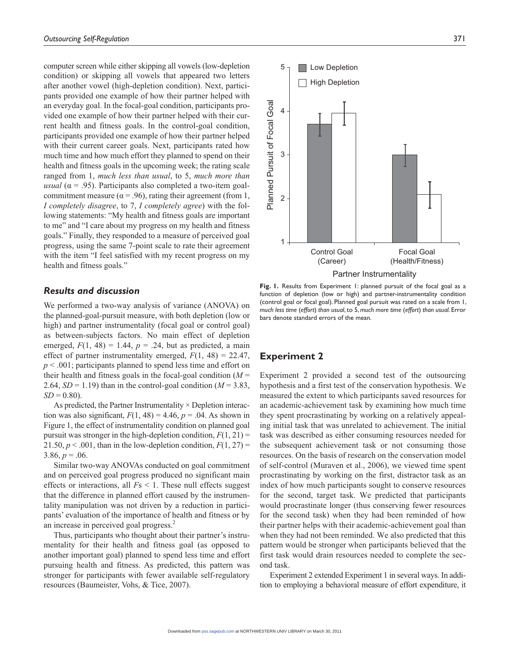computer screen while either skipping all vowels (low-depletion condition) or skipping all vowels that appeared two letters after another vowel (high-depletion condition). Next, participants provided one example of how their partner helped with an everyday goal. In the focal-goal condition, participants provided one example of how their partner helped with their current health and fitness goals. In the control-goal condition, participants provided one example of how their partner helped with their current career goals. Next, participants rated how much time and how much effort they planned to spend on their health and fitness goals in the upcoming week; the rating scale ranged from 1, *much less than usual*, to 5, *much more than usual* ( $\alpha$  = .95). Participants also completed a two-item goalcommitment measure ( $\alpha$  = .96), rating their agreement (from 1, *I completely disagree*, to 7, *I completely agree*) with the following statements: "My health and fitness goals are important to me" and "I care about my progress on my health and fitness goals." Finally, they responded to a measure of perceived goal progress, using the same 7-point scale to rate their agreement with the item "I feel satisfied with my recent progress on my health and fitness goals."

#### *Results and discussion*

We performed a two-way analysis of variance (ANOVA) on the planned-goal-pursuit measure, with both depletion (low or high) and partner instrumentality (focal goal or control goal) as between-subjects factors. No main effect of depletion emerged,  $F(1, 48) = 1.44$ ,  $p = .24$ , but as predicted, a main effect of partner instrumentality emerged,  $F(1, 48) = 22.47$ , *p* < .001; participants planned to spend less time and effort on their health and fitness goals in the focal-goal condition (*M* = 2.64,  $SD = 1.19$ ) than in the control-goal condition ( $M = 3.83$ ,  $SD = 0.80$ .

As predicted, the Partner Instrumentality  $\times$  Depletion interaction was also significant,  $F(1, 48) = 4.46$ ,  $p = .04$ . As shown in Figure 1, the effect of instrumentality condition on planned goal pursuit was stronger in the high-depletion condition,  $F(1, 21)$  = 21.50,  $p < .001$ , than in the low-depletion condition,  $F(1, 27) =$ 3.86,  $p = .06$ .

Similar two-way ANOVAs conducted on goal commitment and on perceived goal progress produced no significant main effects or interactions, all *F*s < 1. These null effects suggest that the difference in planned effort caused by the instrumentality manipulation was not driven by a reduction in participants' evaluation of the importance of health and fitness or by an increase in perceived goal progress.<sup>2</sup>

Thus, participants who thought about their partner's instrumentality for their health and fitness goal (as opposed to another important goal) planned to spend less time and effort pursuing health and fitness. As predicted, this pattern was stronger for participants with fewer available self-regulatory resources (Baumeister, Vohs, & Tice, 2007).



**Fig. 1.** Results from Experiment 1: planned pursuit of the focal goal as a function of depletion (low or high) and partner-instrumentality condition (control goal or focal goal). Planned goal pursuit was rated on a scale from 1, *much less time* (*effort*) *than usual*, to 5, *much more time* (*effort*) *than usual*. Error bars denote standard errors of the mean.

# **Experiment 2**

Experiment 2 provided a second test of the outsourcing hypothesis and a first test of the conservation hypothesis. We measured the extent to which participants saved resources for an academic-achievement task by examining how much time they spent procrastinating by working on a relatively appealing initial task that was unrelated to achievement. The initial task was described as either consuming resources needed for the subsequent achievement task or not consuming those resources. On the basis of research on the conservation model of self-control (Muraven et al., 2006), we viewed time spent procrastinating by working on the first, distractor task as an index of how much participants sought to conserve resources for the second, target task. We predicted that participants would procrastinate longer (thus conserving fewer resources for the second task) when they had been reminded of how their partner helps with their academic-achievement goal than when they had not been reminded. We also predicted that this pattern would be stronger when participants believed that the first task would drain resources needed to complete the second task.

Experiment 2 extended Experiment 1 in several ways. In addition to employing a behavioral measure of effort expenditure, it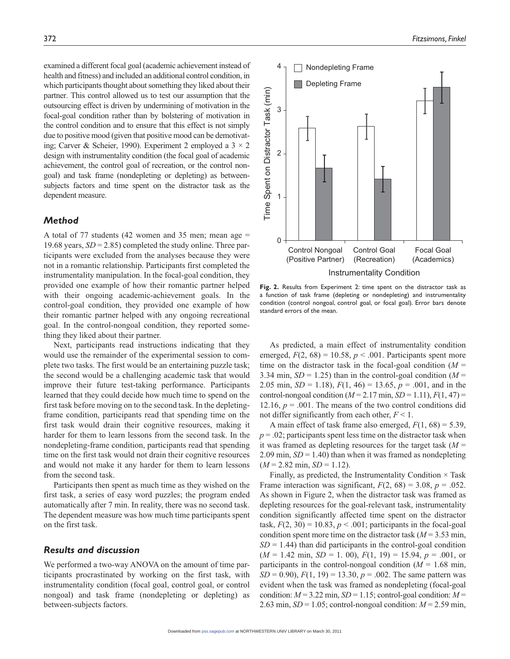examined a different focal goal (academic achievement instead of health and fitness) and included an additional control condition, in which participants thought about something they liked about their partner. This control allowed us to test our assumption that the outsourcing effect is driven by undermining of motivation in the focal-goal condition rather than by bolstering of motivation in the control condition and to ensure that this effect is not simply due to positive mood (given that positive mood can be demotivating; Carver & Scheier, 1990). Experiment 2 employed a  $3 \times 2$ design with instrumentality condition (the focal goal of academic achievement, the control goal of recreation, or the control nongoal) and task frame (nondepleting or depleting) as betweensubjects factors and time spent on the distractor task as the dependent measure.

#### *Method*

A total of 77 students (42 women and 35 men; mean age  $=$ 19.68 years, *SD* = 2.85) completed the study online. Three participants were excluded from the analyses because they were not in a romantic relationship. Participants first completed the instrumentality manipulation. In the focal-goal condition, they provided one example of how their romantic partner helped with their ongoing academic-achievement goals. In the control-goal condition, they provided one example of how their romantic partner helped with any ongoing recreational goal. In the control-nongoal condition, they reported something they liked about their partner.

Next, participants read instructions indicating that they would use the remainder of the experimental session to complete two tasks. The first would be an entertaining puzzle task; the second would be a challenging academic task that would improve their future test-taking performance. Participants learned that they could decide how much time to spend on the first task before moving on to the second task. In the depletingframe condition, participants read that spending time on the first task would drain their cognitive resources, making it harder for them to learn lessons from the second task. In the nondepleting-frame condition, participants read that spending time on the first task would not drain their cognitive resources and would not make it any harder for them to learn lessons from the second task.

Participants then spent as much time as they wished on the first task, a series of easy word puzzles; the program ended automatically after 7 min. In reality, there was no second task. The dependent measure was how much time participants spent on the first task.

# *Results and discussion*

We performed a two-way ANOVA on the amount of time participants procrastinated by working on the first task, with instrumentality condition (focal goal, control goal, or control nongoal) and task frame (nondepleting or depleting) as between-subjects factors.

**Fig. 2.** Results from Experiment 2: time spent on the distractor task as a function of task frame (depleting or nondepleting) and instrumentality condition (control nongoal, control goal, or focal goal). Error bars denote standard errors of the mean.

As predicted, a main effect of instrumentality condition emerged,  $F(2, 68) = 10.58$ ,  $p < .001$ . Participants spent more time on the distractor task in the focal-goal condition  $(M =$ 3.34 min,  $SD = 1.25$ ) than in the control-goal condition ( $M =$ 2.05 min,  $SD = 1.18$ ,  $F(1, 46) = 13.65$ ,  $p = .001$ , and in the control-nongoal condition  $(M=2.17 \text{ min}, SD=1.11)$ ,  $F(1, 47)$ 12.16,  $p = .001$ . The means of the two control conditions did not differ significantly from each other,  $F < 1$ .

A main effect of task frame also emerged,  $F(1, 68) = 5.39$ ,  $p = 0.02$ ; participants spent less time on the distractor task when it was framed as depleting resources for the target task (*M* =  $2.09 \text{ min}, SD = 1.40$  than when it was framed as nondepleting  $(M = 2.82$  min,  $SD = 1.12$ ).

Finally, as predicted, the Instrumentality Condition  $\times$  Task Frame interaction was significant,  $F(2, 68) = 3.08$ ,  $p = .052$ . As shown in Figure 2, when the distractor task was framed as depleting resources for the goal-relevant task, instrumentality condition significantly affected time spent on the distractor task,  $F(2, 30) = 10.83$ ,  $p < .001$ ; participants in the focal-goal condition spent more time on the distractor task  $(M = 3.53 \text{ min})$ ,  $SD = 1.44$ ) than did participants in the control-goal condition  $(M = 1.42 \text{ min}, SD = 1, 00), F(1, 19) = 15.94, p = .001,$  or participants in the control-nongoal condition  $(M = 1.68 \text{ min})$ ,  $SD = 0.90$ ,  $F(1, 19) = 13.30$ ,  $p = .002$ . The same pattern was evident when the task was framed as nondepleting (focal-goal condition:  $M = 3.22$  min,  $SD = 1.15$ ; control-goal condition:  $M =$ 2.63 min,  $SD = 1.05$ ; control-nongoal condition:  $M = 2.59$  min,

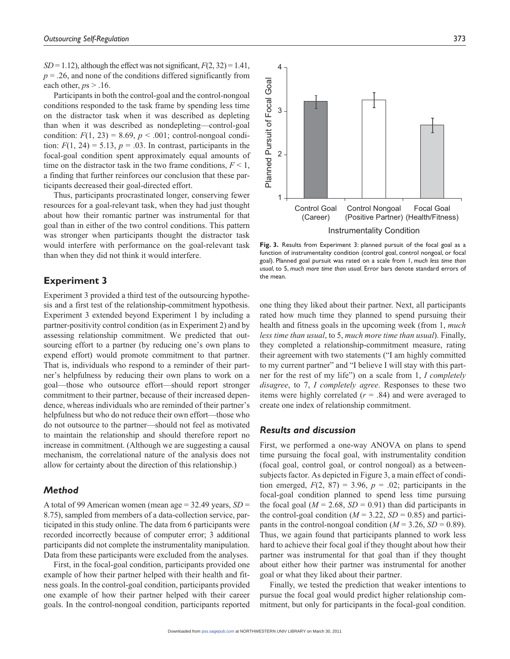$SD = 1.12$ ), although the effect was not significant,  $F(2, 32) = 1.41$ ,  $p = 0.26$ , and none of the conditions differed significantly from each other,  $p_s > .16$ .

Participants in both the control-goal and the control-nongoal conditions responded to the task frame by spending less time on the distractor task when it was described as depleting than when it was described as nondepleting—control-goal condition:  $F(1, 23) = 8.69$ ,  $p < .001$ ; control-nongoal condition:  $F(1, 24) = 5.13$ ,  $p = .03$ . In contrast, participants in the focal-goal condition spent approximately equal amounts of time on the distractor task in the two frame conditions,  $F < 1$ , a finding that further reinforces our conclusion that these participants decreased their goal-directed effort.

Thus, participants procrastinated longer, conserving fewer resources for a goal-relevant task, when they had just thought about how their romantic partner was instrumental for that goal than in either of the two control conditions. This pattern was stronger when participants thought the distractor task would interfere with performance on the goal-relevant task than when they did not think it would interfere.

# **Experiment 3**

Experiment 3 provided a third test of the outsourcing hypothesis and a first test of the relationship-commitment hypothesis. Experiment 3 extended beyond Experiment 1 by including a partner-positivity control condition (as in Experiment 2) and by assessing relationship commitment. We predicted that outsourcing effort to a partner (by reducing one's own plans to expend effort) would promote commitment to that partner. That is, individuals who respond to a reminder of their partner's helpfulness by reducing their own plans to work on a goal—those who outsource effort—should report stronger commitment to their partner, because of their increased dependence, whereas individuals who are reminded of their partner's helpfulness but who do not reduce their own effort—those who do not outsource to the partner—should not feel as motivated to maintain the relationship and should therefore report no increase in commitment. (Although we are suggesting a causal mechanism, the correlational nature of the analysis does not allow for certainty about the direction of this relationship.)

# *Method*

A total of 99 American women (mean age = 32.49 years, *SD* = 8.75), sampled from members of a data-collection service, participated in this study online. The data from 6 participants were recorded incorrectly because of computer error; 3 additional participants did not complete the instrumentality manipulation. Data from these participants were excluded from the analyses.

First, in the focal-goal condition, participants provided one example of how their partner helped with their health and fitness goals. In the control-goal condition, participants provided one example of how their partner helped with their career goals. In the control-nongoal condition, participants reported



**Fig. 3.** Results from Experiment 3: planned pursuit of the focal goal as a function of instrumentality condition (control goal, control nongoal, or focal goal). Planned goal pursuit was rated on a scale from 1, *much less time than usual*, to 5, *much more time than usual*. Error bars denote standard errors of the mean.

one thing they liked about their partner. Next, all participants rated how much time they planned to spend pursuing their health and fitness goals in the upcoming week (from 1, *much less time than usual*, to 5, *much more time than usual*). Finally, they completed a relationship-commitment measure, rating their agreement with two statements ("I am highly committed to my current partner" and "I believe I will stay with this partner for the rest of my life") on a scale from 1, *I completely disagree*, to 7, *I completely agree*. Responses to these two items were highly correlated (*r* = .84) and were averaged to create one index of relationship commitment.

#### *Results and discussion*

First, we performed a one-way ANOVA on plans to spend time pursuing the focal goal, with instrumentality condition (focal goal, control goal, or control nongoal) as a betweensubjects factor. As depicted in Figure 3, a main effect of condition emerged,  $F(2, 87) = 3.96$ ,  $p = .02$ ; participants in the focal-goal condition planned to spend less time pursuing the focal goal ( $M = 2.68$ ,  $SD = 0.91$ ) than did participants in the control-goal condition ( $M = 3.22$ ,  $SD = 0.85$ ) and participants in the control-nongoal condition  $(M = 3.26, SD = 0.89)$ . Thus, we again found that participants planned to work less hard to achieve their focal goal if they thought about how their partner was instrumental for that goal than if they thought about either how their partner was instrumental for another goal or what they liked about their partner.

Finally, we tested the prediction that weaker intentions to pursue the focal goal would predict higher relationship commitment, but only for participants in the focal-goal condition.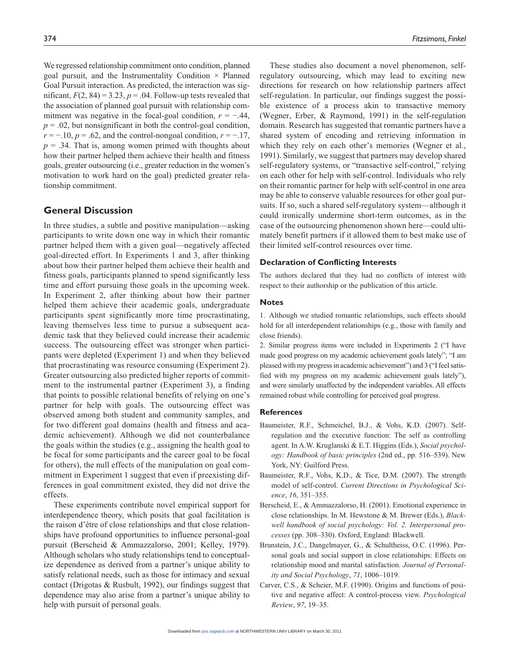We regressed relationship commitment onto condition, planned goal pursuit, and the Instrumentality Condition  $\times$  Planned Goal Pursuit interaction. As predicted, the interaction was significant,  $F(2, 84) = 3.23$ ,  $p = .04$ . Follow-up tests revealed that the association of planned goal pursuit with relationship commitment was negative in the focal-goal condition,  $r = -0.44$ ,  $p = 0.02$ , but nonsignificant in both the control-goal condition, *r* = −.10, *p* = .62, and the control-nongoal condition, *r* = −.17,  $p = 0.34$ . That is, among women primed with thoughts about how their partner helped them achieve their health and fitness goals, greater outsourcing (i.e., greater reduction in the women's motivation to work hard on the goal) predicted greater relationship commitment.

#### **General Discussion**

In three studies, a subtle and positive manipulation—asking participants to write down one way in which their romantic partner helped them with a given goal—negatively affected goal-directed effort. In Experiments 1 and 3, after thinking about how their partner helped them achieve their health and fitness goals, participants planned to spend significantly less time and effort pursuing those goals in the upcoming week. In Experiment 2, after thinking about how their partner helped them achieve their academic goals, undergraduate participants spent significantly more time procrastinating, leaving themselves less time to pursue a subsequent academic task that they believed could increase their academic success. The outsourcing effect was stronger when participants were depleted (Experiment 1) and when they believed that procrastinating was resource consuming (Experiment 2). Greater outsourcing also predicted higher reports of commitment to the instrumental partner (Experiment 3), a finding that points to possible relational benefits of relying on one's partner for help with goals. The outsourcing effect was observed among both student and community samples, and for two different goal domains (health and fitness and academic achievement). Although we did not counterbalance the goals within the studies (e.g., assigning the health goal to be focal for some participants and the career goal to be focal for others), the null effects of the manipulation on goal commitment in Experiment 1 suggest that even if preexisting differences in goal commitment existed, they did not drive the effects.

These experiments contribute novel empirical support for interdependence theory, which posits that goal facilitation is the raison d'être of close relationships and that close relationships have profound opportunities to influence personal-goal pursuit (Berscheid & Ammazzalorso, 2001; Kelley, 1979). Although scholars who study relationships tend to conceptualize dependence as derived from a partner's unique ability to satisfy relational needs, such as those for intimacy and sexual contact (Drigotas & Rusbult, 1992), our findings suggest that dependence may also arise from a partner's unique ability to help with pursuit of personal goals.

These studies also document a novel phenomenon, selfregulatory outsourcing, which may lead to exciting new directions for research on how relationship partners affect self-regulation. In particular, our findings suggest the possible existence of a process akin to transactive memory (Wegner, Erber, & Raymond, 1991) in the self-regulation domain. Research has suggested that romantic partners have a shared system of encoding and retrieving information in which they rely on each other's memories (Wegner et al., 1991). Similarly, we suggest that partners may develop shared self-regulatory systems, or "transactive self-control," relying on each other for help with self-control. Individuals who rely on their romantic partner for help with self-control in one area may be able to conserve valuable resources for other goal pursuits. If so, such a shared self-regulatory system—although it could ironically undermine short-term outcomes, as in the case of the outsourcing phenomenon shown here—could ultimately benefit partners if it allowed them to best make use of their limited self-control resources over time.

#### **Declaration of Conflicting Interests**

The authors declared that they had no conflicts of interest with respect to their authorship or the publication of this article.

#### **Notes**

1. Although we studied romantic relationships, such effects should hold for all interdependent relationships (e.g., those with family and close friends).

2. Similar progress items were included in Experiments 2 ("I have made good progress on my academic achievement goals lately"; "I am pleased with my progress in academic achievement") and 3 ("I feel satisfied with my progress on my academic achievement goals lately"), and were similarly unaffected by the independent variables. All effects remained robust while controlling for perceived goal progress.

#### **References**

- Baumeister, R.F., Schmeichel, B.J., & Vohs, K.D. (2007). Selfregulation and the executive function: The self as controlling agent. In A.W. Kruglanski & E.T. Higgins (Eds.), *Social psychology: Handbook of basic principles* (2nd ed., pp. 516–539). New York, NY: Guilford Press.
- Baumeister, R.F., Vohs, K.D., & Tice, D.M. (2007). The strength model of self-control. *Current Directions in Psychological Science*, *16*, 351–355.
- Berscheid, E., & Ammazzalorso, H. (2001). Emotional experience in close relationships. In M. Hewstone & M. Brewer (Eds.), *Blackwell handbook of social psychology: Vol. 2. Interpersonal processes* (pp. 308–330). Oxford, England: Blackwell.
- Brunstein, J.C., Dangelmayer, G., & Schultheiss, O.C. (1996). Personal goals and social support in close relationships: Effects on relationship mood and marital satisfaction. *Journal of Personality and Social Psychology*, *71*, 1006–1019.
- Carver, C.S., & Scheier, M.F. (1990). Origins and functions of positive and negative affect: A control-process view. *Psychological Review*, *97*, 19–35.